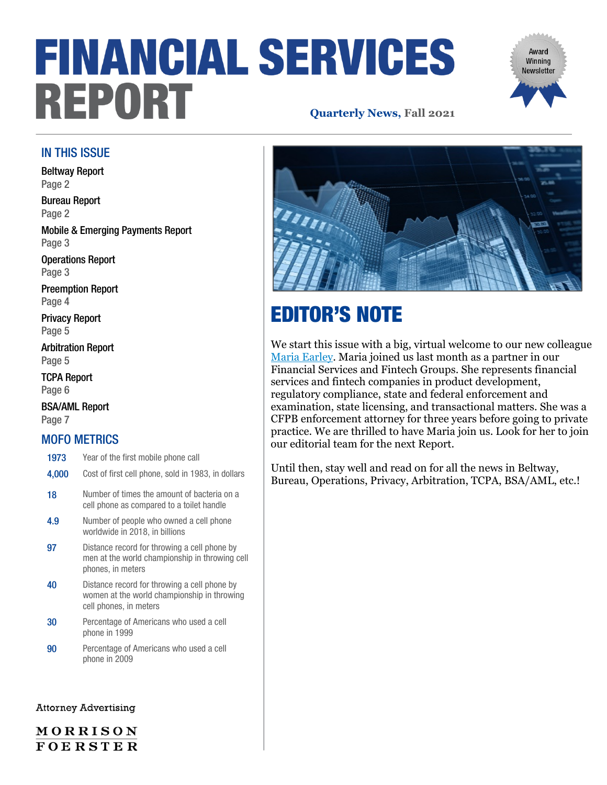# **FINANCIAL SERVICES** REPORT **Quarterly News, Fall 2021**

# Award Winning **Newsletter**

### IN THIS ISSUE

[Beltway Report](#page-0-0) [Page 2](#page-0-0)

[Bureau Report](#page-1-0) [Page 2](#page-1-0)

[Mobile & Emerging Payments Report](#page-2-0) [Page 3](#page-2-0)

[Operations Report](#page-2-1) [Page 3](#page-2-1)

[Preemption Report](#page-3-0) [Page](#page-3-0) 4

[Privacy Report](#page-4-0) [Page](#page-4-0) 5

[Arbitration Report](#page-4-1) [Page 5](#page-4-1)

[TCPA Report](#page-5-0) [Page 6](#page-5-0)

[BSA/AML Report](#page-6-0) [Page 7](#page-6-0)

### MOFO METRICS

- 1973 Year of the first mobile phone call
- 4,000 Cost of first cell phone, sold in 1983, in dollars
- 18 Number of times the amount of bacteria on a cell phone as compared to a toilet handle
- 4.9 Number of people who owned a cell phone worldwide in 2018, in billions
- 97 Distance record for throwing a cell phone by men at the world championship in throwing cell phones, in meters
- 40 Distance record for throwing a cell phone by women at the world championship in throwing cell phones, in meters
- 30 Percentage of Americans who used a cell phone in 1999
- **90** Percentage of Americans who used a cell phone in 2009

#### <span id="page-0-0"></span>**Attorney Advertising**

MORRISON **FOERSTER** 



## EDITOR'S NOTE

We start this issue with a big, virtual welcome to our new colleague [Maria Earley.](https://www.mofo.com/people/maria-earley.html) Maria joined us last month as a partner in our Financial Services and Fintech Groups. She represents financial services and fintech companies in product development, regulatory compliance, state and federal enforcement and examination, state licensing, and transactional matters. She was a CFPB enforcement attorney for three years before going to private practice. We are thrilled to have Maria join us. Look for her to join our editorial team for the next Report.

Until then, stay well and read on for all the news in Beltway, Bureau, Operations, Privacy, Arbitration, TCPA, BSA/AML, etc.!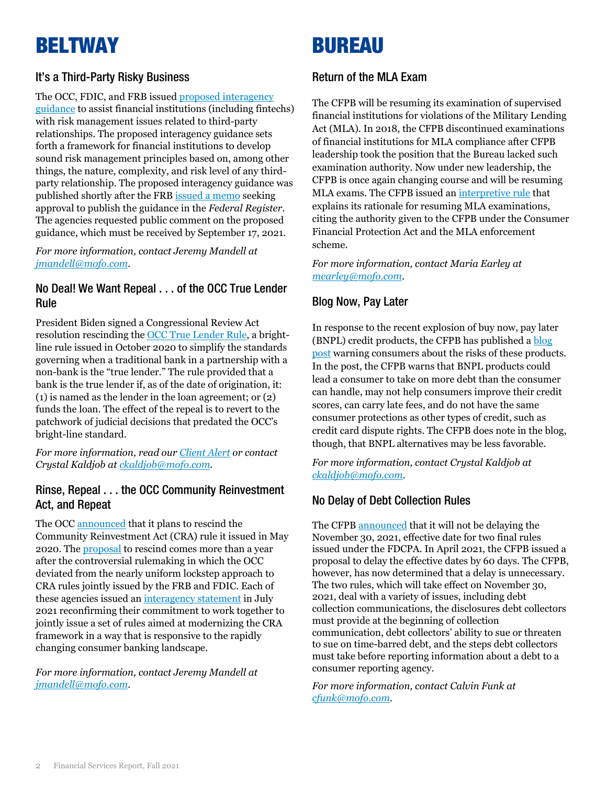### BELTWAY

### It's a Third-Party Risky Business

The OCC, FDIC, and FRB issued [proposed interagency](https://www.govinfo.gov/content/pkg/FR-2021-07-19/pdf/2021-15308.pdf)  [guidance](https://www.govinfo.gov/content/pkg/FR-2021-07-19/pdf/2021-15308.pdf) to assist financial institutions (including fintechs) with risk management issues related to third-party relationships. The proposed interagency guidance sets forth a framework for financial institutions to develop sound risk management principles based on, among other things, the nature, complexity, and risk level of any thirdparty relationship. The proposed interagency guidance was published shortly after the FRB [issued a memo](https://www.federalreserve.gov/newsevents/pressreleases/files/bcreg20210713a2.pdf) seeking approval to publish the guidance in the *Federal Register*. The agencies requested public comment on the proposed guidance, which must be received by September 17, 2021.

*For more information, contact Jeremy Mandell at [jmandell@mofo.com.](mailto:jmandell@mofo.com)*

### No Deal! We Want Repeal . . . of the OCC True Lender Rule

President Biden signed a Congressional Review Act resolution rescinding the [OCC True Lender Rule,](https://www.occ.gov/news-issuances/federal-register/2020/85fr68742.pdf) a brightline rule issued in October 2020 to simplify the standards governing when a traditional bank in a partnership with a non-bank is the "true lender." The rule provided that a bank is the true lender if, as of the date of origination, it: (1) is named as the lender in the loan agreement; or (2) funds the loan. The effect of the repeal is to revert to the patchwork of judicial decisions that predated the OCC's bright-line standard.

*For more information, read our [Client Alert](https://www.mofo.com/resources/insights/210701-president-biden-repeals-occ.html) or contact Crystal Kaldjob a[t ckaldjob@mofo.com.](mailto:ckaldjob@mofo.com)*

### Rinse, Repeal . . . the OCC Community Reinvestment Act, and Repeat

The OCC [announced](https://www.occ.gov/news-issuances/news-releases/2021/nr-occ-2021-76.html) that it plans to rescind the Community Reinvestment Act (CRA) rule it issued in May 2020. The [proposal](https://www.occ.gov/news-issuances/federal-register/2021/nr-occ-2021-94a.pdf) to rescind comes more than a year after the controversial rulemaking in which the OCC deviated from the nearly uniform lockstep approach to CRA rules jointly issued by the FRB and FDIC. Each of these agencies issued an [interagency statement](https://www.federalreserve.gov/newsevents/pressreleases/bcreg20210720a.htm) in July 2021 reconfirming their commitment to work together to jointly issue a set of rules aimed at modernizing the CRA framework in a way that is responsive to the rapidly changing consumer banking landscape.

*For more information, contact Jeremy Mandell at [jmandell@mofo.com.](mailto:jmandell@mofo.com)*

### <span id="page-1-0"></span>BUREAU

### Return of the MLA Exam

The CFPB will be resuming its examination of supervised financial institutions for violations of the Military Lending Act (MLA). In 2018, the CFPB discontinued examinations of financial institutions for MLA compliance after CFPB leadership took the position that the Bureau lacked such examination authority. Now under new leadership, the CFPB is once again changing course and will be resuming MLA exams. The CFPB issued an [interpretive rule](https://www.govinfo.gov/content/pkg/FR-2021-06-23/pdf/2021-13074.pdf) that explains its rationale for resuming MLA examinations, citing the authority given to the CFPB under the Consumer Financial Protection Act and the MLA enforcement scheme.

#### *For more information, contact Maria Earley at [mearley@mofo.com](mailto:mearley@mofo.com)*.

### Blog Now, Pay Later

In response to the recent explosion of buy now, pay later (BNPL) credit products, the CFPB has published [a blog](https://www.consumerfinance.gov/about-us/newsroom/cfpb-confirms-effective-date-for-debt-collection-final-rules/)  [post](https://www.consumerfinance.gov/about-us/newsroom/cfpb-confirms-effective-date-for-debt-collection-final-rules/) warning consumers about the risks of these products. In the post, the CFPB warns that BNPL products could lead a consumer to take on more debt than the consumer can handle, may not help consumers improve their credit scores, can carry late fees, and do not have the same consumer protections as other types of credit, such as credit card dispute rights. The CFPB does note in the blog, though, that BNPL alternatives may be less favorable.

*For more information, contact Crystal Kaldjob at [ckaldjob@mofo.com.](mailto:ckaldjob@mofo.com)*

### No Delay of Debt Collection Rules

The CFP[B announced](https://www.consumerfinance.gov/about-us/newsroom/cfpb-confirms-effective-date-for-debt-collection-final-rules/) that it will not be delaying the November 30, 2021, effective date for two final rules issued under the FDCPA. In April 2021, the CFPB issued a proposal to delay the effective dates by 60 days. The CFPB, however, has now determined that a delay is unnecessary. The two rules, which will take effect on November 30, 2021, deal with a variety of issues, including debt collection communications, the disclosures debt collectors must provide at the beginning of collection communication, debt collectors' ability to sue or threaten to sue on time-barred debt, and the steps debt collectors must take before reporting information about a debt to a consumer reporting agency.

*For more information, contact Calvin Funk at [cfunk@mofo.com.](mailto:cfunk@mofo.com)*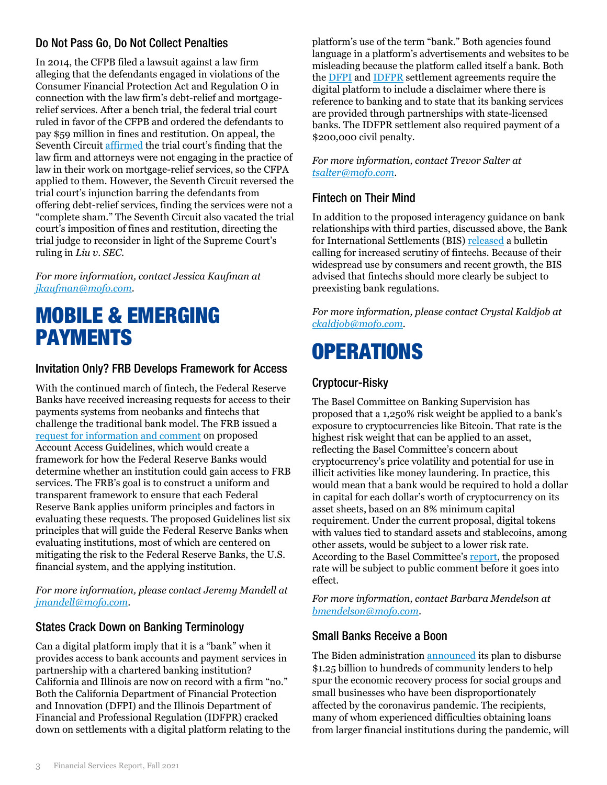### Do Not Pass Go, Do Not Collect Penalties

In 2014, the CFPB filed a lawsuit against a law firm alleging that the defendants engaged in violations of the Consumer Financial Protection Act and Regulation O in connection with the law firm's debt-relief and mortgagerelief services. After a bench trial, the federal trial court ruled in favor of the CFPB and ordered the defendants to pay \$59 million in fines and restitution. On appeal, the Seventh Circuit [affirmed](https://fingfx.thomsonreuters.com/gfx/legaldocs/zdpxoyrkevx/BANKING%20CFPB%20ATTORNEYS%20opinion.pdf) the trial court's finding that the law firm and attorneys were not engaging in the practice of law in their work on mortgage-relief services, so the CFPA applied to them. However, the Seventh Circuit reversed the trial court's injunction barring the defendants from offering debt-relief services, finding the services were not a "complete sham." The Seventh Circuit also vacated the trial court's imposition of fines and restitution, directing the trial judge to reconsider in light of the Supreme Court's ruling in *Liu v. SEC*.

*For more information, contact Jessica Kaufman at [jkaufman@mofo.com.](mailto:jkaufman@mofo.com)*

### <span id="page-2-0"></span>MOBILE & EMERGING PAYMENTS

### Invitation Only? FRB Develops Framework for Access

With the continued march of fintech, the Federal Reserve Banks have received increasing requests for access to their payments systems from neobanks and fintechs that challenge the traditional bank model. The FRB issued a [request for information and comment](https://www.govinfo.gov/content/pkg/FR-2021-05-11/pdf/2021-09873.pdf) on proposed Account Access Guidelines, which would create a framework for how the Federal Reserve Banks would determine whether an institution could gain access to FRB services. The FRB's goal is to construct a uniform and transparent framework to ensure that each Federal Reserve Bank applies uniform principles and factors in evaluating these requests. The proposed Guidelines list six principles that will guide the Federal Reserve Banks when evaluating institutions, most of which are centered on mitigating the risk to the Federal Reserve Banks, the U.S. financial system, and the applying institution.

*For more information, please contact Jeremy Mandell at [jmandell@mofo.com](mailto:jmandell@mofo.com)*.

### States Crack Down on Banking Terminology

Can a digital platform imply that it is a "bank" when it provides access to bank accounts and payment services in partnership with a chartered banking institution? California and Illinois are now on record with a firm "no." Both the California Department of Financial Protection and Innovation (DFPI) and the Illinois Department of Financial and Professional Regulation (IDFPR) cracked down on settlements with a digital platform relating to the platform's use of the term "bank." Both agencies found language in a platform's advertisements and websites to be misleading because the platform called itself a bank. Both th[e DFPI](https://dfpi.ca.gov/wp-content/uploads/sites/337/2021/04/Admin.-Action-Chime-Financial-Inc.-Settlement-Agreement.pdf) and [IDFPR](https://www.idfpr.com/banks/cbt/Enforcement/2021/2021%2003%2025%20Chime%20-%20IL%20Settlement%20Agreement%20and%20Consent%20Order.pdf) settlement agreements require the digital platform to include a disclaimer where there is reference to banking and to state that its banking services are provided through partnerships with state-licensed banks. The IDFPR settlement also required payment of a \$200,000 civil penalty.

*For more information, contact Trevor Salter at [tsalter@mofo.com](mailto:tsalter@mofo.com)*.

### Fintech on Their Mind

In addition to the proposed interagency guidance on bank relationships with third parties, discussed above, the Bank for International Settlements (BIS) [released](https://www.bis.org/publ/bisbull45.pdf) a bulletin calling for increased scrutiny of fintechs. Because of their widespread use by consumers and recent growth, the BIS advised that fintechs should more clearly be subject to preexisting bank regulations.

*For more information, please contact Crystal Kaldjob at [ckaldjob@mofo.com.](mailto:ckaldjob@mofo.com)*

# <span id="page-2-1"></span>**OPERATIONS**

### Cryptocur-Risky

The Basel Committee on Banking Supervision has proposed that a 1,250% risk weight be applied to a bank's exposure to cryptocurrencies like Bitcoin. That rate is the highest risk weight that can be applied to an asset, reflecting the Basel Committee's concern about cryptocurrency's price volatility and potential for use in illicit activities like money laundering. In practice, this would mean that a bank would be required to hold a dollar in capital for each dollar's worth of cryptocurrency on its asset sheets, based on an 8% minimum capital requirement. Under the current proposal, digital tokens with values tied to standard assets and stablecoins, among other assets, would be subject to a lower risk rate. According to the Basel Committee's [report,](https://www.bis.org/bcbs/publ/d519.pdf) the proposed rate will be subject to public comment before it goes into effect.

*For more information, contact Barbara Mendelson at [bmendelson@mofo.com](mailto:bmendelson@mofo.com)*.

### Small Banks Receive a Boon

The Biden administration **announced** its plan to disburse \$1.25 billion to hundreds of community lenders to help spur the economic recovery process for social groups and small businesses who have been disproportionately affected by the coronavirus pandemic. The recipients, many of whom experienced difficulties obtaining loans from larger financial institutions during the pandemic, will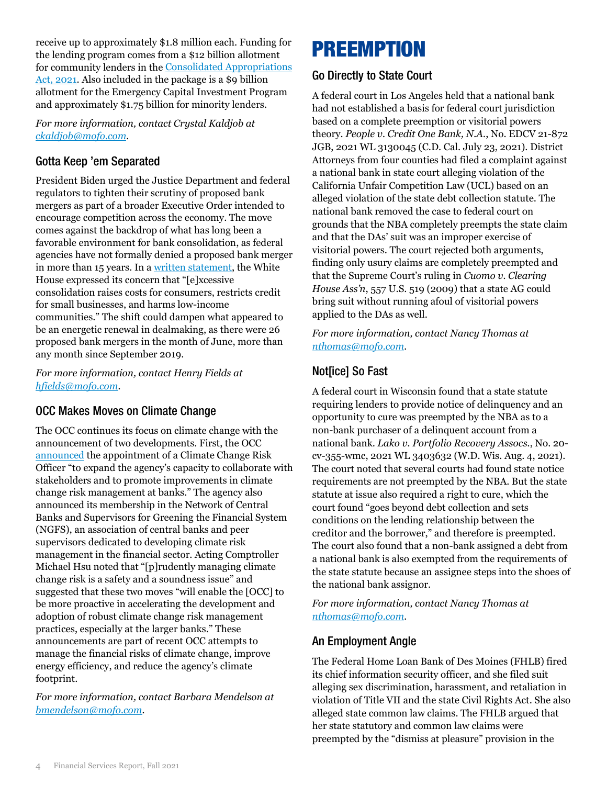receive up to approximately \$1.8 million each. Funding for the lending program comes from a \$12 billion allotment for community lenders in the [Consolidated Appropriations](https://www.congress.gov/116/bills/hr133/BILLS-116hr133enr.pdf)  [Act, 2021.](https://www.congress.gov/116/bills/hr133/BILLS-116hr133enr.pdf) Also included in the package is a \$9 billion allotment for the Emergency Capital Investment Program and approximately \$1.75 billion for minority lenders.

*For more information, contact Crystal Kaldjob at [ckaldjob@mofo.com.](mailto:ckaldjob@mofo.com)*

### Gotta Keep 'em Separated

President Biden urged the Justice Department and federal regulators to tighten their scrutiny of proposed bank mergers as part of a broader Executive Order intended to encourage competition across the economy. The move comes against the backdrop of what has long been a favorable environment for bank consolidation, as federal agencies have not formally denied a proposed bank merger in more than 15 years. In a [written statement,](https://www.whitehouse.gov/briefing-room/statements-releases/2021/07/09/fact-sheet-executive-order-on-promoting-competition-in-the-american-economy/) the White House expressed its concern that "[e]xcessive consolidation raises costs for consumers, restricts credit for small businesses, and harms low-income communities." The shift could dampen what appeared to be an energetic renewal in dealmaking, as there were 26 proposed bank mergers in the month of June, more than any month since September 2019.

*For more information, contact Henry Fields at [hfields@mofo.com.](mailto:hfields@mofo.com)*

### OCC Makes Moves on Climate Change

The OCC continues its focus on climate change with the announcement of two developments. First, the OCC [announced](https://www.occ.gov/news-issuances/news-releases/2021/nr-occ-2021-78.html) the appointment of a Climate Change Risk Officer "to expand the agency's capacity to collaborate with stakeholders and to promote improvements in climate change risk management at banks." The agency also announced its membership in the Network of Central Banks and Supervisors for Greening the Financial System (NGFS), an association of central banks and peer supervisors dedicated to developing climate risk management in the financial sector. Acting Comptroller Michael Hsu noted that "[p]rudently managing climate change risk is a safety and a soundness issue" and suggested that these two moves "will enable the [OCC] to be more proactive in accelerating the development and adoption of robust climate change risk management practices, especially at the larger banks." These announcements are part of recent OCC attempts to manage the financial risks of climate change, improve energy efficiency, and reduce the agency's climate footprint.

*For more information, contact Barbara Mendelson at [bmendelson@mofo.com.](mailto:bmendelson@mofo.com)*

### <span id="page-3-0"></span>PREEMPTION

### Go Directly to State Court

A federal court in Los Angeles held that a national bank had not established a basis for federal court jurisdiction based on a complete preemption or visitorial powers theory. *People v. Credit One Bank, N.A.*, No. EDCV 21-872 JGB, 2021 WL 3130045 (C.D. Cal. July 23, 2021). District Attorneys from four counties had filed a complaint against a national bank in state court alleging violation of the California Unfair Competition Law (UCL) based on an alleged violation of the state debt collection statute. The national bank removed the case to federal court on grounds that the NBA completely preempts the state claim and that the DAs' suit was an improper exercise of visitorial powers. The court rejected both arguments, finding only usury claims are completely preempted and that the Supreme Court's ruling in *Cuomo v. Clearing House Ass'n*, 557 U.S. 519 (2009) that a state AG could bring suit without running afoul of visitorial powers applied to the DAs as well.

*For more information, contact Nancy Thomas at [nthomas@mofo.com.](mailto:nthomas@mofo.com)*

### Not[ice] So Fast

A federal court in Wisconsin found that a state statute requiring lenders to provide notice of delinquency and an opportunity to cure was preempted by the NBA as to a non-bank purchaser of a delinquent account from a national bank. *Lako v. Portfolio Recovery Assocs.*, No. 20 cv-355-wmc, 2021 WL 3403632 (W.D. Wis. Aug. 4, 2021). The court noted that several courts had found state notice requirements are not preempted by the NBA. But the state statute at issue also required a right to cure, which the court found "goes beyond debt collection and sets conditions on the lending relationship between the creditor and the borrower," and therefore is preempted. The court also found that a non-bank assigned a debt from a national bank is also exempted from the requirements of the state statute because an assignee steps into the shoes of the national bank assignor.

*For more information, contact Nancy Thomas at [nthomas@mofo.com.](mailto:nthomas@mofo.com)*

### An Employment Angle

The Federal Home Loan Bank of Des Moines (FHLB) fired its chief information security officer, and she filed suit alleging sex discrimination, harassment, and retaliation in violation of Title VII and the state Civil Rights Act. She also alleged state common law claims. The FHLB argued that her state statutory and common law claims were preempted by the "dismiss at pleasure" provision in the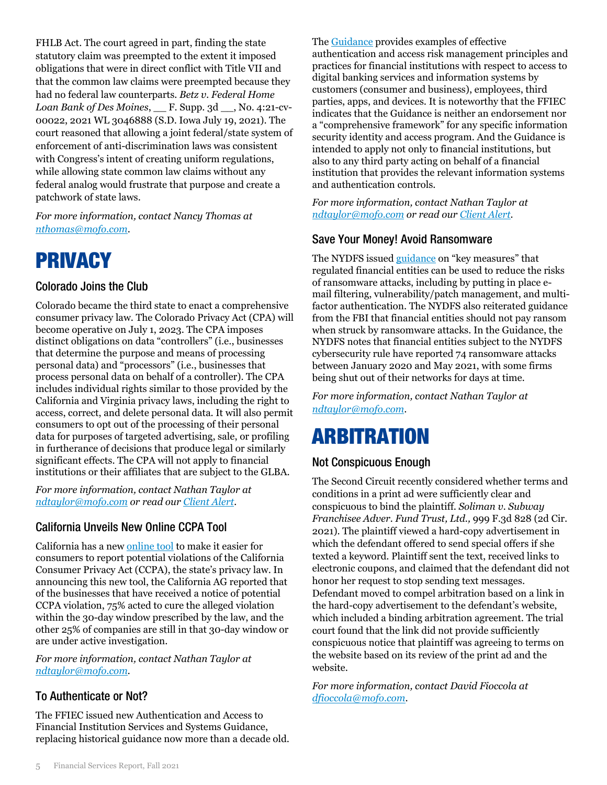FHLB Act. The court agreed in part, finding the state statutory claim was preempted to the extent it imposed obligations that were in direct conflict with Title VII and that the common law claims were preempted because they had no federal law counterparts. *Betz v. Federal Home Loan Bank of Des Moines*, \_\_ F. Supp. 3d \_\_, No. 4:21-cv-00022, 2021 WL 3046888 (S.D. Iowa July 19, 2021). The court reasoned that allowing a joint federal/state system of enforcement of anti-discrimination laws was consistent with Congress's intent of creating uniform regulations, while allowing state common law claims without any federal analog would frustrate that purpose and create a patchwork of state laws.

<span id="page-4-0"></span>*For more information, contact Nancy Thomas at [nthomas@mofo.com](mailto:nthomas@mofo.com)*.

### PRIVACY

### Colorado Joins the Club

Colorado became the third state to enact a comprehensive consumer privacy law. The Colorado Privacy Act (CPA) will become operative on July 1, 2023. The CPA imposes distinct obligations on data "controllers" (i.e., businesses that determine the purpose and means of processing personal data) and "processors" (i.e., businesses that process personal data on behalf of a controller). The CPA includes individual rights similar to those provided by the California and Virginia privacy laws, including the right to access, correct, and delete personal data. It will also permit consumers to opt out of the processing of their personal data for purposes of targeted advertising, sale, or profiling in furtherance of decisions that produce legal or similarly significant effects. The CPA will not apply to financial institutions or their affiliates that are subject to the GLBA.

*For more information, contact Nathan Taylor at [ndtaylor@mofo.com](mailto:ndtaylor@mofo.com) or read our [Client Alert.](https://www.mofo.com/resources/insights/210609-colorado-consumer-privacy-bill-passes.html)*

### California Unveils New Online CCPA Tool

California has a new [online tool](https://oag.ca.gov/consumer-privacy-tool) to make it easier for consumers to report potential violations of the California Consumer Privacy Act (CCPA), the state's privacy law. In announcing this new tool, the California AG reported that of the businesses that have received a notice of potential CCPA violation, 75% acted to cure the alleged violation within the 30-day window prescribed by the law, and the other 25% of companies are still in that 30-day window or are under active investigation.

*For more information, contact Nathan Taylor at [ndtaylor@mofo.com.](mailto:ndtaylor@mofo.com)*

### To Authenticate or Not?

The FFIEC issued new Authentication and Access to Financial Institution Services and Systems Guidance, replacing historical guidance now more than a decade old. The [Guidance](https://www.ffiec.gov/press/PDF/Authentication-and-Access-to-Financial-Institution-Services-and-Systems.pdf) provides examples of effective authentication and access risk management principles and practices for financial institutions with respect to access to digital banking services and information systems by customers (consumer and business), employees, third parties, apps, and devices. It is noteworthy that the FFIEC indicates that the Guidance is neither an endorsement nor a "comprehensive framework" for any specific information security identity and access program. And the Guidance is intended to apply not only to financial institutions, but also to any third party acting on behalf of a financial institution that provides the relevant information systems and authentication controls.

*For more information, contact Nathan Taylor at [ndtaylor@mofo.com](mailto:ndtaylor@mofo.com) or read our [Client Alert.](https://www.mofo.com/resources/insights/210817-ffiec-issues-updated-guidance.html)*

### Save Your Money! Avoid Ransomware

The NYDFS issued [guidance](https://www.dfs.ny.gov/industry_guidance/industry_letters/il20210630_ransomware_guidance) on "key measures" that regulated financial entities can be used to reduce the risks of ransomware attacks, including by putting in place email filtering, vulnerability/patch management, and multifactor authentication. The NYDFS also reiterated guidance from the FBI that financial entities should not pay ransom when struck by ransomware attacks. In the Guidance, the NYDFS notes that financial entities subject to the NYDFS cybersecurity rule have reported 74 ransomware attacks between January 2020 and May 2021, with some firms being shut out of their networks for days at time*.*

*For more information, contact Nathan Taylor at [ndtaylor@mofo.com](mailto:ndtaylor@mofo.com)*.

### <span id="page-4-1"></span>ARBITRATION

### Not Conspicuous Enough

The Second Circuit recently considered whether terms and conditions in a print ad were sufficiently clear and conspicuous to bind the plaintiff. *Soliman v. Subway Franchisee Adver. Fund Trust, Ltd.,* 999 F.3d 828 (2d Cir. 2021). The plaintiff viewed a hard-copy advertisement in which the defendant offered to send special offers if she texted a keyword. Plaintiff sent the text, received links to electronic coupons, and claimed that the defendant did not honor her request to stop sending text messages. Defendant moved to compel arbitration based on a link in the hard-copy advertisement to the defendant's website, which included a binding arbitration agreement. The trial court found that the link did not provide sufficiently conspicuous notice that plaintiff was agreeing to terms on the website based on its review of the print ad and the website.

*For more information, contact David Fioccola at [dfioccola@mofo.com](mailto:dfioccola@mofo.com)*.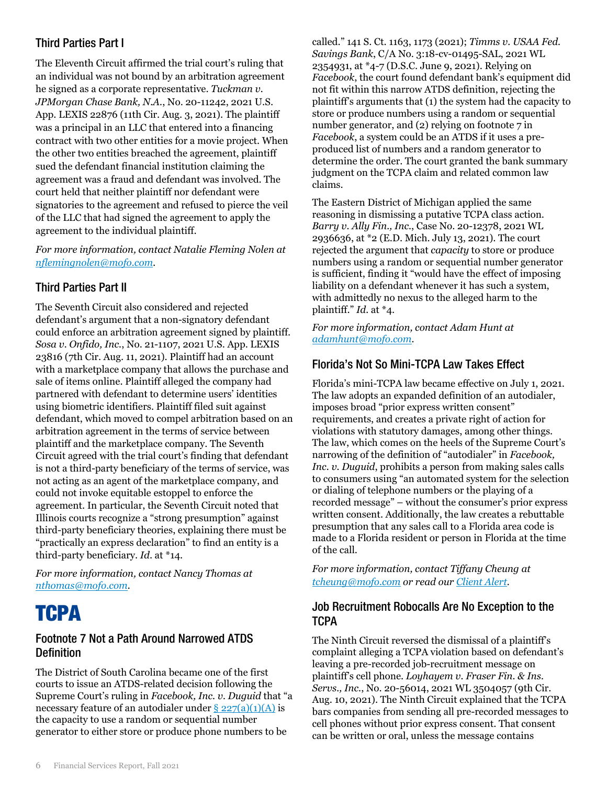### Third Parties Part I

The Eleventh Circuit affirmed the trial court's ruling that an individual was not bound by an arbitration agreement he signed as a corporate representative. *Tuckman v. JPMorgan Chase Bank, N.A.*, No. 20-11242, 2021 U.S. App. LEXIS 22876 (11th Cir. Aug. 3, 2021). The plaintiff was a principal in an LLC that entered into a financing contract with two other entities for a movie project. When the other two entities breached the agreement, plaintiff sued the defendant financial institution claiming the agreement was a fraud and defendant was involved. The court held that neither plaintiff nor defendant were signatories to the agreement and refused to pierce the veil of the LLC that had signed the agreement to apply the agreement to the individual plaintiff.

*For more information, contact Natalie Fleming Nolen at [nflemingnolen@mofo.com.](mailto:nflemingnolen@mofo.com)*

### Third Parties Part II

The Seventh Circuit also considered and rejected defendant's argument that a non-signatory defendant could enforce an arbitration agreement signed by plaintiff. *Sosa v. Onfido, Inc.*, No. 21-1107, 2021 U.S. App. LEXIS 23816 (7th Cir. Aug. 11, 2021). Plaintiff had an account with a marketplace company that allows the purchase and sale of items online. Plaintiff alleged the company had partnered with defendant to determine users' identities using biometric identifiers. Plaintiff filed suit against defendant, which moved to compel arbitration based on an arbitration agreement in the terms of service between plaintiff and the marketplace company. The Seventh Circuit agreed with the trial court's finding that defendant is not a third-party beneficiary of the terms of service, was not acting as an agent of the marketplace company, and could not invoke equitable estoppel to enforce the agreement. In particular, the Seventh Circuit noted that Illinois courts recognize a "strong presumption" against third-party beneficiary theories, explaining there must be "practically an express declaration" to find an entity is a third-party beneficiary. *Id*. at \*14.

*For more information, contact Nancy Thomas at [nthomas@mofo.com.](mailto:nthomas@mofo.com)*

### <span id="page-5-0"></span>**TCPA**

### Footnote 7 Not a Path Around Narrowed ATDS **Definition**

The District of South Carolina became one of the first courts to issue an ATDS-related decision following the Supreme Court's ruling in *Facebook, Inc. v. Duguid* that "a necessary feature of an autodialer under  $\S 227(a)(1)(A)$  is the capacity to use a random or sequential number generator to either store or produce phone numbers to be

called." 141 S. Ct. 1163, 1173 (2021); *Timms v. USAA Fed. Savings Bank*, C/A No. 3:18-cv-01495-SAL, 2021 WL 2354931, at \*4-7 (D.S.C. June 9, 2021). Relying on *Facebook*, the court found defendant bank's equipment did not fit within this narrow ATDS definition, rejecting the plaintiff's arguments that (1) the system had the capacity to store or produce numbers using a random or sequential number generator, and (2) relying on footnote 7 in *Facebook*, a system could be an ATDS if it uses a preproduced list of numbers and a random generator to determine the order. The court granted the bank summary judgment on the TCPA claim and related common law claims.

The Eastern District of Michigan applied the same reasoning in dismissing a putative TCPA class action. *Barry v. Ally Fin., Inc.*, Case No. 20-12378, 2021 WL 2936636, at \*2 (E.D. Mich. July 13, 2021). The court rejected the argument that *capacity* to store or produce numbers using a random or sequential number generator is sufficient, finding it "would have the effect of imposing liability on a defendant whenever it has such a system, with admittedly no nexus to the alleged harm to the plaintiff." *Id.* at \*4.

*For more information, contact Adam Hunt at [adamhunt@mofo.com.](mailto:adamhunt@mofo.com)*

### Florida's Not So Mini-TCPA Law Takes Effect

Florida's mini-TCPA law became effective on July 1, 2021. The law adopts an expanded definition of an autodialer, imposes broad "prior express written consent" requirements, and creates a private right of action for violations with statutory damages, among other things. The law, which comes on the heels of the Supreme Court's narrowing of the definition of "autodialer" in *Facebook, Inc. v. Duguid*, prohibits a person from making sales calls to consumers using "an automated system for the selection or dialing of telephone numbers or the playing of a recorded message" – without the consumer's prior express written consent. Additionally, the law creates a rebuttable presumption that any sales call to a Florida area code is made to a Florida resident or person in Florida at the time of the call.

*For more information, contact Tiffany Cheung at [tcheung@mofo.com](mailto:tcheung@mofo.com) or read ou[r Client Alert.](https://www.mofo.com/resources/insights/210706-tcpa-like-florida-law-takes-effect.html)*

### Job Recruitment Robocalls Are No Exception to the **TCPA**

The Ninth Circuit reversed the dismissal of a plaintiff's complaint alleging a TCPA violation based on defendant's leaving a pre-recorded job-recruitment message on plaintiff's cell phone. *Loyhayem v. Fraser Fin. & Ins. Servs., Inc.*, No. 20-56014, 2021 WL 3504057 (9th Cir. Aug. 10, 2021). The Ninth Circuit explained that the TCPA bars companies from sending all pre-recorded messages to cell phones without prior express consent. That consent can be written or oral, unless the message contains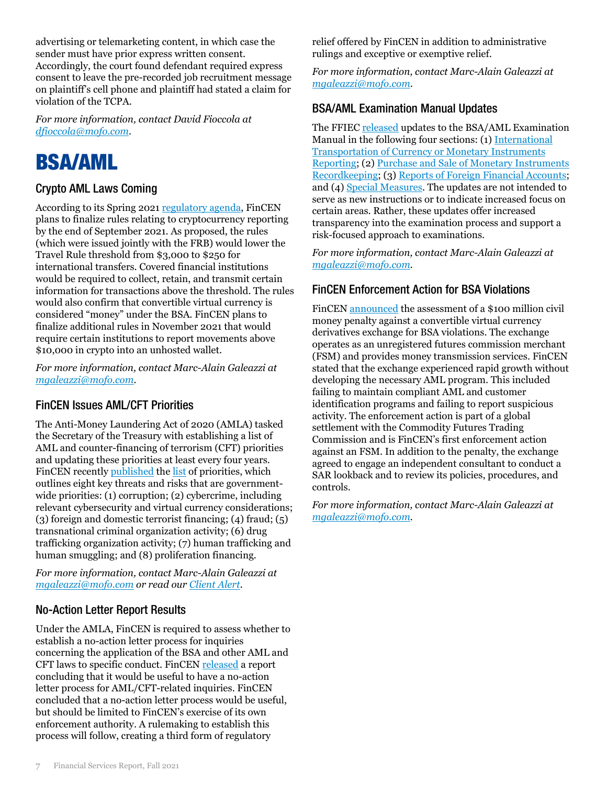advertising or telemarketing content, in which case the sender must have prior express written consent. Accordingly, the court found defendant required express consent to leave the pre-recorded job recruitment message on plaintiff's cell phone and plaintiff had stated a claim for violation of the TCPA.

*For more information, contact David Fioccola at [dfioccola@mofo.com.](mailto:dfioccola@mofo.com)*

### <span id="page-6-0"></span>BSA/AML

### Crypto AML Laws Coming

According to its Spring 202[1 regulatory agenda,](https://www.reginfo.gov/public/do/eAgendaMain?operation=OPERATION_GET_AGENCY_RULE_LIST¤tPub=true&agencyCode=&showStage=active&agencyCd=1500&csrf_token=A0BEC2ED4C59063B5089762B5D06B300C3EF4950C9EB7E29F641922C1C334AD805CAD5549729A314D553F6B10E108E71EE26) FinCEN plans to finalize rules relating to cryptocurrency reporting by the end of September 2021. As proposed, the rules (which were issued jointly with the FRB) would lower the Travel Rule threshold from \$3,000 to \$250 for international transfers. Covered financial institutions would be required to collect, retain, and transmit certain information for transactions above the threshold. The rules would also confirm that convertible virtual currency is considered "money" under the BSA. FinCEN plans to finalize additional rules in November 2021 that would require certain institutions to report movements above \$10,000 in crypto into an unhosted wallet.

*For more information, contact Marc-Alain Galeazzi at [mgaleazzi@mofo.com.](mailto:mgaleazzi@mofo.com)*

### FinCEN Issues AML/CFT Priorities

The Anti-Money Laundering Act of 2020 (AMLA) tasked the Secretary of the Treasury with establishing a list of AML and counter-financing of terrorism (CFT) priorities and updating these priorities at least every four years. FinCEN recentl[y published](https://www.fincen.gov/news/news-releases/fincen-issues-first-national-amlcft-priorities-and-accompanying-statements) the [list](https://www.fincen.gov/sites/default/files/shared/AML_CFT%20Priorities%20(June%2030%2C%202021).pdf) of priorities, which outlines eight key threats and risks that are governmentwide priorities: (1) corruption; (2) cybercrime, including relevant cybersecurity and virtual currency considerations; (3) foreign and domestic terrorist financing; (4) fraud; (5) transnational criminal organization activity; (6) drug trafficking organization activity; (7) human trafficking and human smuggling; and (8) proliferation financing.

*For more information, contact Marc-Alain Galeazzi at [mgaleazzi@mofo.com](mailto:mgaleazzi@mofo.com) or read our [Client Alert.](https://www.mofo.com/resources/insights/210112-anti-money-laundering-act.html)*

### No-Action Letter Report Results

Under the AMLA, FinCEN is required to assess whether to establish a no-action letter process for inquiries concerning the application of the BSA and other AML and CFT laws to specific conduct. FinCEN [released](https://www.fincen.gov/news/news-releases/fincen-completes-assessment-use-no-action-letters) a report concluding that it would be useful to have a no-action letter process for AML/CFT-related inquiries. FinCEN concluded that a no-action letter process would be useful, but should be limited to FinCEN's exercise of its own enforcement authority. A rulemaking to establish this process will follow, creating a third form of regulatory

relief offered by FinCEN in addition to administrative rulings and exceptive or exemptive relief.

*For more information, contact Marc-Alain Galeazzi at [mgaleazzi@mofo.com](mailto:mgaleazzi@mofo.com)*.

### BSA/AML Examination Manual Updates

The FFIE[C released](https://www.ffiec.gov/press/pr062121.htm) updates to the BSA/AML Examination Manual in the following four sections: (1) [International](https://www.ffiec.gov/press/PDF/Intl_Transportation_of_Currency_or_Monetary_Instruments_Reporting_Narrativec_and_Exam_Pro.pdf)  [Transportation of Currency or Monetary Instruments](https://www.ffiec.gov/press/PDF/Intl_Transportation_of_Currency_or_Monetary_Instruments_Reporting_Narrativec_and_Exam_Pro.pdf)  [Reporting;](https://www.ffiec.gov/press/PDF/Intl_Transportation_of_Currency_or_Monetary_Instruments_Reporting_Narrativec_and_Exam_Pro.pdf) (2) [Purchase and Sale of Monetary Instruments](https://www.ffiec.gov/press/PDF/Purchase_and_Sale_of_Monetary_Instruments_Recordkeeping_Narrative_and_Exam_Pro.pdf)  [Recordkeeping;](https://www.ffiec.gov/press/PDF/Purchase_and_Sale_of_Monetary_Instruments_Recordkeeping_Narrative_and_Exam_Pro.pdf) (3) [Reports of Foreign Financial Accounts;](https://www.ffiec.gov/press/PDF/Reports_of_Foreign_Accounts_Narrative_and_Exam_Pro.pdf) and (4[\) Special Measures.](https://www.ffiec.gov/press/PDF/Special_Measures_Narrative_and_Exam_Pro.pdf) The updates are not intended to serve as new instructions or to indicate increased focus on certain areas. Rather, these updates offer increased transparency into the examination process and support a risk-focused approach to examinations.

*For more information, contact Marc-Alain Galeazzi at [mgaleazzi@mofo.com.](mailto:mgaleazzi@mofo.com)*

### FinCEN Enforcement Action for BSA Violations

FinCEN [announced](https://www.fincen.gov/news/news-releases/fincen-announces-100-million-enforcement-action-against-unregistered-futures) the assessment of a \$100 million civil money penalty against a convertible virtual currency derivatives exchange for BSA violations. The exchange operates as an unregistered futures commission merchant (FSM) and provides money transmission services. FinCEN stated that the exchange experienced rapid growth without developing the necessary AML program. This included failing to maintain compliant AML and customer identification programs and failing to report suspicious activity. The enforcement action is part of a global settlement with the Commodity Futures Trading Commission and is FinCEN's first enforcement action against an FSM. In addition to the penalty, the exchange agreed to engage an independent consultant to conduct a SAR lookback and to review its policies, procedures, and controls.

*For more information, contact Marc-Alain Galeazzi at [mgaleazzi@mofo.com.](mailto:mgaleazzi@mofo.com)*